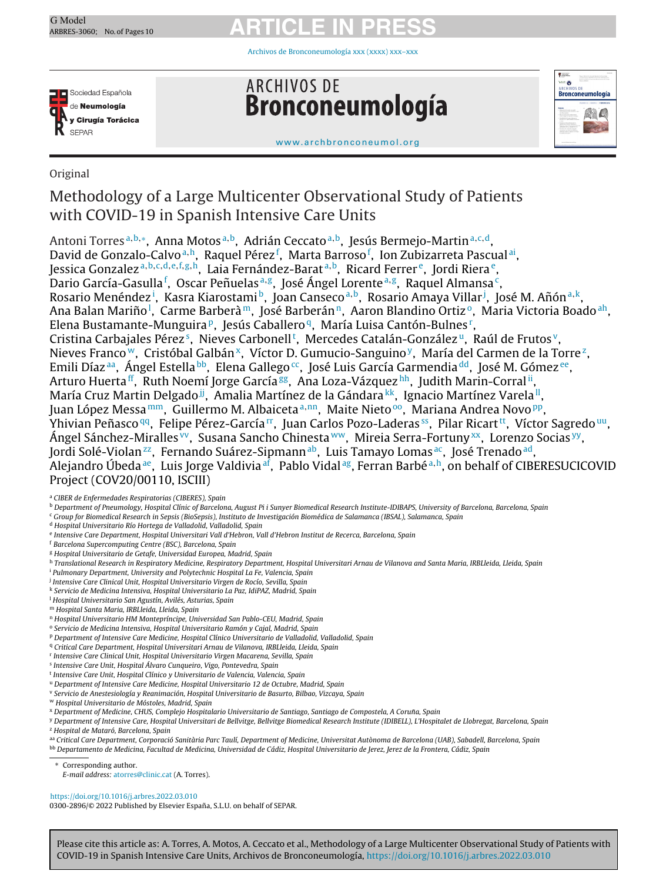Archivos de [Bronconeumología](https://doi.org/10.1016/j.arbres.2022.03.010) xxx (xxxx) xxx–xxx



**ARCHIVOS DE** Bronconeumología



[www.archbronconeumol.org](http://www.archbronconeumol.org)

## Original

## Methodology of a Large Multicenter Observational Study of Patients with COVID-19 in Spanish Intensive Care Units

Antoni Torres<sup>a,b,∗</sup>, Anna Motos<sup>a,b</sup>, Adrián Ceccato<sup>a,b</sup>, Jesús Bermejo-Martin<sup>a,c,d</sup>, David de Gonzalo-Calvo<sup>a,h</sup>, Raquel Pérez<sup>f</sup>, Marta Barroso<sup>f</sup>, Ion Zubizarreta Pascual<sup>ai</sup>, Jessica Gonzalez <sup>a</sup>,b,c,d,e,f,g,h, Laia Fernández-Barat <sup>a</sup>,b, Ricard Ferrer e, Jordi Riera e, Dario García-Gasulla<sup>f</sup>, Oscar Peñuelas<sup>a,g</sup>, José Ángel Lorente<sup>a,g</sup>, Raquel Almansa<sup>c</sup>, Rosario Menéndez<sup>i</sup>, Kasra Kiarostami<sup>b</sup>, Joan Canseco<sup>a,b</sup>, Rosario Amaya Villar<sup>j</sup>, José M. Añón<sup>a,k</sup>, Ana Balan Mariño<sup>l</sup>, Carme Barberà<sup>m</sup>, José Barberán<sup>n</sup>, Aaron Blandino Ortizº, Maria Victoria Boado<sup>ah</sup>, Elena Bustamante-Munguira<sup>p</sup>, Jesús Caballero<sup>q</sup>, María Luisa Cantón-Bulnes<sup>r</sup>, Cristina Carbajales Pérez<sup>s</sup>, Nieves Carbonell<sup>t</sup>, Mercedes Catalán-González<sup>u</sup>, Raúl de Frutos<sup>v</sup>, Nieves Franco<sup>w</sup>, Cristóbal Galbán<sup>x</sup>, Víctor D. Gumucio-Sanguino<sup>y</sup>, María del Carmen de la Torre<sup>z</sup>, Emili Díaz<sup>aa</sup>, Ángel Estella bb, Elena Gallego<sup>cc</sup>, José Luis García Garmendia <sup>dd</sup>, José M. Gómez <sup>ee</sup>, Arturo Huerta<sup>ff</sup>, Ruth Noemí Jorge García<sup>gg</sup>, Ana Loza-Vázquez [hh,](#page-1-0) Judith Marin-Corral [ii,](#page-1-0) María Cruz Martin Delgado<sup>ji</sup>, Amalia Martínez de la Gándara [kk,](#page-1-0) Ignacio Martínez Varela<sup>ll</sup>, Juan López Messa<sup>mm</sup>, Guillermo M. Albaiceta<sup>a,nn</sup>, Maite Nieto<sup>oo</sup>, Mariana Andrea Novo PP, Yhivian Peñasco<sup>qq</sup>, Felipe Pérez-García<sup>rr</sup>, Juan Carlos Pozo-Laderas<sup>ss</sup>, Pilar Ricart<sup>tt</sup>, Víctor Sagredo [uu,](#page-1-0) Ángel Sánchez-Miralles <sup>vv</sup>, Susana Sancho Chinesta <sup>ww</sup>, Mireia Serra-Fortuny [xx,](#page-1-0) Lorenzo Socias <sup>yy</sup>, Jordi Solé-Violan<sup>zz</sup>, Fernando Suárez-Sipmann<sup>ab</sup>, Luis Tamayo Lomas<sup>ac</sup>, José Trenado<sup>ad</sup>, Alejandro Úbeda<sup>ae</sup>, Luis Jorge Valdivia<sup>af</sup>, Pablo Vidal<sup>ag</sup>, Ferran Barbé<sup>a,h</sup>, on behalf of CIBERESUCICOVID Project (COV20/00110, ISCIII)

<sup>a</sup> CIBER de Enfermedades Respiratorias (CIBERES), Spain

- <sup>c</sup> Group for Biomedical Research in Sepsis (BioSepsis), Instituto de Investigación Biomédica de Salamanca (IBSAL), Salamanca, Spain
- <sup>d</sup> Hospital Universitario Río Hortega de Valladolid, Valladolid, Spain
- <sup>e</sup> Intensive Care Department, Hospital Universitari Vall d'Hebron, Vall d'Hebron Institut de Recerca, Barcelona, Spain
- <sup>f</sup> Barcelona Supercomputing Centre (BSC), Barcelona, Spain
- <sup>g</sup> Hospital Universitario de Getafe, Universidad Europea, Madrid, Spain
- h Translational Research in Respiratory Medicine, Respiratory Department, Hospital Universitari Arnau de Vilanova and Santa Maria, IRBLleida, Lleida, Spain
- <sup>i</sup> Pulmonary Department, University and Polytechnic Hospital La Fe, Valencia, Spain
- <sup>j</sup> Intensive Care Clinical Unit, Hospital Universitario Virgen de Rocío, Sevilla, Spain
- <sup>k</sup> Servicio de Medicina Intensiva, Hospital Universitario La Paz, IdiPAZ, Madrid, Spain
- <sup>1</sup> Hospital Universitario San Agustín, Avilés, Asturias, Spain
- <sup>m</sup> Hospital Santa Maria, IRBLleida, Lleida, Spain
- <sup>n</sup> Hospital Universitario HM Montepríncipe, Universidad San Pablo-CEU, Madrid, Spain
- <sup>o</sup> Servicio de Medicina Intensiva, Hospital Universitario Ramón y Cajal, Madrid, Spain
- <sup>p</sup> Department of Intensive Care Medicine, Hospital Clínico Universitario de Valladolid, Valladolid, Spain
- <sup>q</sup> Critical Care Department, Hospital Universitari Arnau de Vilanova, IRBLleida, Lleida, Spain
- <sup>r</sup> Intensive Care Clinical Unit, Hospital Universitario Virgen Macarena, Sevilla, Spain
- <sup>s</sup> Intensive Care Unit, Hospital Álvaro Cunqueiro, Vigo, Pontevedra, Spain
- <sup>t</sup> Intensive Care Unit, Hospital Clínico y Universitario de Valencia, Valencia, Spain
- <sup>u</sup> Department of Intensive Care Medicine, Hospital Universitario 12 de Octubre, Madrid, Spain
- <sup>v</sup> Servicio de Anestesiología y Reanimación, Hospital Universitario de Basurto, Bilbao, Vizcaya, Spain
- <sup>w</sup> Hospital Universitario de Móstoles, Madrid, Spain
- x Department of Medicine, CHUS, Complejo Hospitalario Universitario de Santiago, Santiago de Compostela, A Coruña, Spain
- y Department of Intensive Care, Hospital Universitari de Bellvitge, Bellvitge Biomedical Research Institute (IDIBELL), L'Hospitalet de Llobregat, Barcelona, Spain <sup>2</sup> Hospital de Mataró, Barcelona, Spain
- aa Critical Care Department, Corporació Sanitària Parc Taulí, Department of Medicine, Universitat Autònoma de Barcelona (UAB), Sabadell, Barcelona, Spain
- <sup>bb</sup> Departamento de Medicina, Facultad de Medicina, Universidad de Cádiz, Hospital Universitario de Jerez, Jerez de la Frontera, Cádiz, Spain

E-mail address: [atorres@clinic.cat](mailto:atorres@clinic.cat) (A. Torres).

<https://doi.org/10.1016/j.arbres.2022.03.010>

0300-2896/© 2022 Published by Elsevier España, S.L.U. on behalf of SEPAR.

Please cite this article as: A. Torres, A. Motos, A. Ceccato et al., Methodology of a Large Multicenter Observational Study of Patients with COVID-19 in Spanish Intensive Care Units, Archivos de Bronconeumología, <https://doi.org/10.1016/j.arbres.2022.03.010>

**b** Department of Pneumology, Hospital Clínic of Barcelona, August Pi i Sunyer Biomedical Research Institute-IDIBAPS, University of Barcelona, Barcelona, Spain

Corresponding author.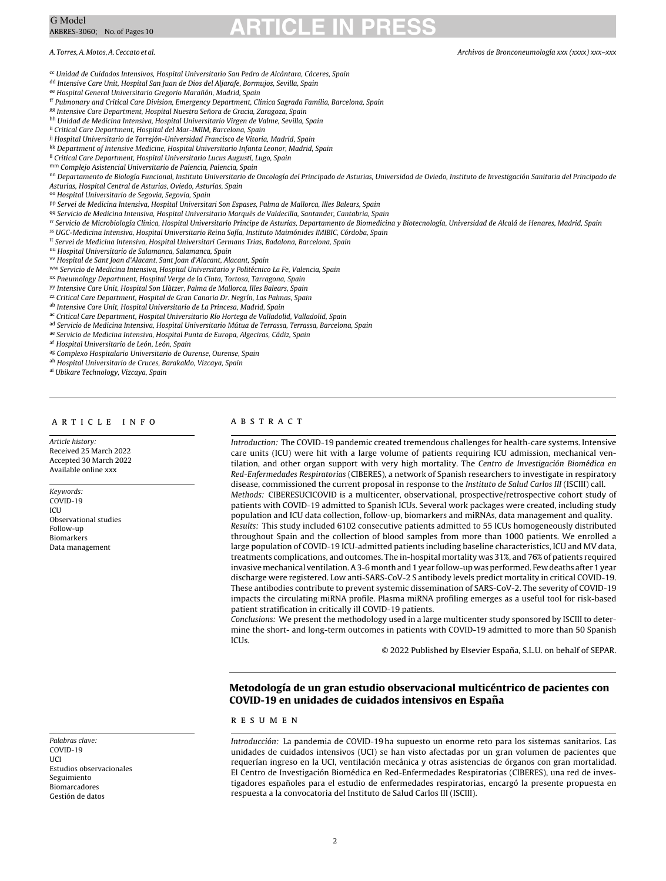<span id="page-1-0"></span><sup>cc</sup> Unidad de Cuidados Intensivos, Hospital Universitario San Pedro de Alcántara, Cáceres, Spain

dd Intensive Care Unit, Hospital San Juan de Dios del Aljarafe, Bormujos, Sevilla, Spain

ee Hospital General Universitario Gregorio Marañón, Madrid, Spain

ff Pulmonary and Critical Care Division, Emergency Department, Clínica Sagrada Família, Barcelona, Spain

gg Intensive Care Department, Hospital Nuestra Señora de Gracia, Zaragoza, Spain

hh Unidad de Medicina Intensiva, Hospital Universitario Virgen de Valme, Sevilla, Spain

ii Critical Care Department, Hospital del Mar-IMIM, Barcelona, Spain

jj Hospital Universitario de Torrejón-Universidad Francisco de Vitoria, Madrid, Spain

kk Department of Intensive Medicine, Hospital Universitario Infanta Leonor, Madrid, Spain

<sup>Il</sup> Critical Care Department, Hospital Universitario Lucus Augusti, Lugo, Spain mm Complejo Asistencial Universitario de Palencia, Palencia, Spain

nn Departamento de Biología Funcional, Instituto Universitario de Oncología del Principado de Asturias, Universidad de Oviedo, Instituto de Investigación Sanitaria del Principado de

Asturias, Hospital Central de Asturias, Oviedo, Asturias, Spain

oo Hospital Universitario de Segovia, Segovia, Spain

pp Servei de Medicina Intensiva, Hospital Universitari Son Espases, Palma de Mallorca, Illes Balears, Spain

qq Servicio de Medicina Intensiva, Hospital Universitario Marqués de Valdecilla, Santander, Cantabria, Spain

rr Servicio de Microbiología Clínica, Hospital Universitario Príncipe de Asturias, Departamento de Biomedicina y Biotecnología, Universidad de Alcalá de Henares, Madrid, Spain

ss UGC-Medicina Intensiva, Hospital Universitario Reina Sofía, Instituto Maimónides IMIBIC, Córdoba, Spain

tt Servei de Medicina Intensiva, Hospital Universitari Germans Trias, Badalona, Barcelona, Spain

uu Hospital Universitario de Salamanca, Salamanca, Spain

vv Hospital de Sant Joan d'Alacant, Sant Joan d'Alacant, Alacant, Spain

ww Servicio de Medicina Intensiva, Hospital Universitario y Politécnico La Fe, Valencia, Spain

xx Pneumology Department, Hospital Verge de la Cinta, Tortosa, Tarragona, Spain

yy Intensive Care Unit, Hospital Son Llàtzer, Palma de Mallorca, Illes Balears, Spain

<sup>22</sup> Critical Care Department, Hospital de Gran Canaria Dr. Negrín, Las Palmas, Spain

ab Intensive Care Unit, Hospital Universitario de La Princesa, Madrid, Spain

ac Critical Care Department, Hospital Universitario Río Hortega de Valladolid, Valladolid, Spain

ad Servicio de Medicina Intensiva, Hospital Universitario Mútua de Terrassa, Terrassa, Barcelona, Spain

ae Servicio de Medicina Intensiva, Hospital Punta de Europa, Algeciras, Cádiz, Spain

af Hospital Universitario de León, León, Spain

ag Complexo Hospitalario Universitario de Ourense, Ourense, Spain

ah Hospital Universitario de Cruces, Barakaldo, Vizcaya, Spain

ai Ubikare Technology, Vizcaya, Spain

## a r t i c l e i n f o

Article history: Received 25 March 2022 Accepted 30 March 2022 Available online xxx

Keywords: COVID-19 **ICU** Observational studies Follow-up Biomarkers Data management

### Palabras clave: COVID-19 UCI Estudios observacionales Seguimiento Biomarcadores Gestión de datos

## A B S T R A C T

Introduction: The COVID-19 pandemic created tremendous challenges for health-care systems. Intensive care units (ICU) were hit with a large volume of patients requiring ICU admission, mechanical ventilation, and other organ support with very high mortality. The Centro de Investigación Biomédica en Red-Enfermedades Respiratorias (CIBERES), a network of Spanish researchers to investigate in respiratory disease, commissioned the current proposal in response to the Instituto de Salud Carlos III (ISCIII) call. Methods: CIBERESUCICOVID is a multicenter, observational, prospective/retrospective cohort study of patients with COVID-19 admitted to Spanish ICUs. Several work packages were created, including study population and ICU data collection, follow-up, biomarkers and miRNAs, data management and quality. Results: This study included 6102 consecutive patients admitted to 55 ICUs homogeneously distributed throughout Spain and the collection of blood samples from more than 1000 patients. We enrolled a large population of COVID-19 ICU-admitted patients including baseline characteristics, ICU and MV data, treatments complications, and outcomes. The in-hospital mortality was 31%, and 76% of patients required invasivemechanical ventilation.A3-6month and 1 year follow-up was performed. Few deaths after 1 year discharge were registered. Low anti-SARS-CoV-2 S antibody levels predict mortality in critical COVID-19. These antibodies contribute to prevent systemic dissemination of SARS-CoV-2. The severity of COVID-19 impacts the circulating miRNA profile. Plasma miRNA profiling emerges as a useful tool for risk-based patient stratification in critically ill COVID-19 patients.

Conclusions: We present the methodology used in a large multicenter study sponsored by ISCIII to determine the short- and long-term outcomes in patients with COVID-19 admitted to more than 50 Spanish ICUs.

© 2022 Published by Elsevier España, S.L.U. on behalf of SEPAR.

## **Metodología de un gran estudio observacional multicéntrico de pacientes con COVID-19 en unidades de cuidados intensivos en Espana˜**

## r e s u m e n

Introducción: La pandemia de COVID-19 ha supuesto un enorme reto para los sistemas sanitarios. Las unidades de cuidados intensivos (UCI) se han visto afectadas por un gran volumen de pacientes que requerían ingreso en la UCI, ventilación mecánica y otras asistencias de órganos con gran mortalidad. El Centro de Investigación Biomédica en Red-Enfermedades Respiratorias (CIBERES), una red de investigadores españoles para el estudio de enfermedades respiratorias, encargó la presente propuesta en respuesta a la convocatoria del Instituto de Salud Carlos III (ISCIII).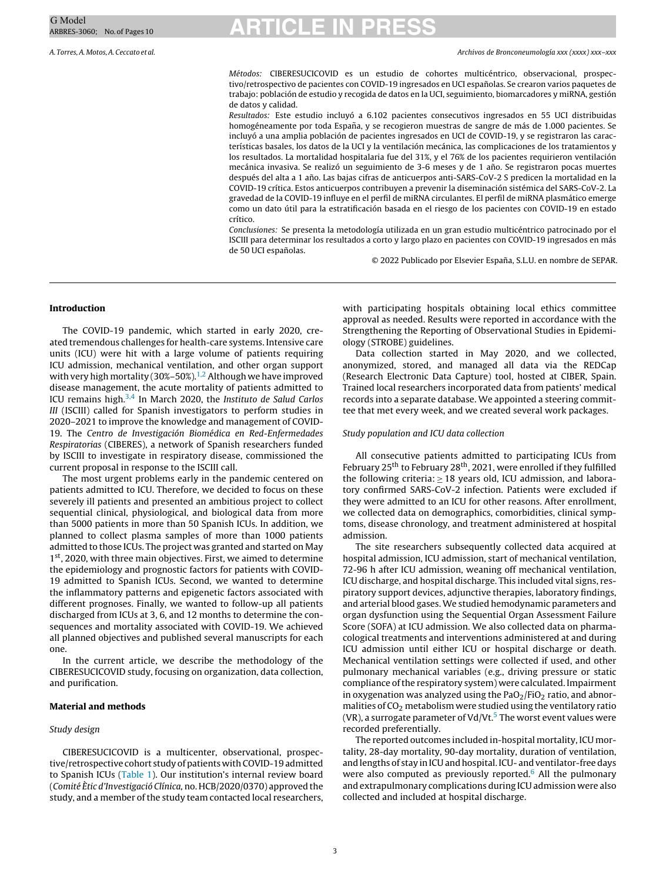A. Torres,A.Motos,A.Ceccato et al. Archivos de Bronconeumología xxx (xxxx) xxx–xxx

Métodos: CIBERESUCICOVID es un estudio de cohortes multicéntrico, observacional, prospectivo/retrospectivo de pacientes con COVID-19 ingresados en UCI españolas. Se crearon varios paquetes de trabajo: población de estudio y recogida de datos en la UCI, seguimiento, biomarcadores y miRNA, gestión de datos y calidad.

Resultados: Este estudio incluyó a 6.102 pacientes consecutivos ingresados en 55 UCI distribuidas homogéneamente por toda España, y se recogieron muestras de sangre de más de 1.000 pacientes. Se incluyó a una amplia población de pacientes ingresados en UCI de COVID-19, y se registraron las características basales, los datos de la UCI y la ventilación mecánica, las complicaciones de los tratamientos y los resultados. La mortalidad hospitalaria fue del 31%, y el 76% de los pacientes requirieron ventilación mecánica invasiva. Se realizó un seguimiento de 3-6 meses y de 1 año. Se registraron pocas muertes después del alta a 1 año. Las bajas cifras de anticuerpos anti-SARS-CoV-2 S predicen la mortalidad en la COVID-19 crítica. Estos anticuerpos contribuyen a prevenir la diseminación sistémica del SARS-CoV-2. La gravedad de la COVID-19 influye en el perfil de miRNA circulantes. El perfil de miRNA plasmático emerge como un dato útil para la estratificación basada en el riesgo de los pacientes con COVID-19 en estado crítico.

Conclusiones: Se presenta la metodología utilizada en un gran estudio multicéntrico patrocinado por el ISCIII para determinar los resultados a corto y largo plazo en pacientes con COVID-19 ingresados en más de 50 UCI españolas.

© 2022 Publicado por Elsevier España, S.L.U. en nombre de SEPAR.

### **Introduction**

The COVID-19 pandemic, which started in early 2020, created tremendous challenges for health-care systems. Intensive care units (ICU) were hit with a large volume of patients requiring ICU admission, mechanical ventilation, and other organ support with very high mortality (30%-50%).<sup>1,2</sup> Although we have improved disease management, the acute mortality of patients admitted to ICU remains high.<sup>[3,4](#page-9-0)</sup> In March 2020, the Instituto de Salud Carlos III (ISCIII) called for Spanish investigators to perform studies in 2020–2021 to improve the knowledge and management of COVID-19. The Centro de Investigación Biomédica en Red-Enfermedades Respiratorias (CIBERES), a network of Spanish researchers funded by ISCIII to investigate in respiratory disease, commissioned the current proposal in response to the ISCIII call.

The most urgent problems early in the pandemic centered on patients admitted to ICU. Therefore, we decided to focus on these severely ill patients and presented an ambitious project to collect sequential clinical, physiological, and biological data from more than 5000 patients in more than 50 Spanish ICUs. In addition, we planned to collect plasma samples of more than 1000 patients admitted to those ICUs. The project was granted and started on May 1<sup>st</sup>, 2020, with three main objectives. First, we aimed to determine the epidemiology and prognostic factors for patients with COVID-19 admitted to Spanish ICUs. Second, we wanted to determine the inflammatory patterns and epigenetic factors associated with different prognoses. Finally, we wanted to follow-up all patients discharged from ICUs at 3, 6, and 12 months to determine the consequences and mortality associated with COVID-19. We achieved all planned objectives and published several manuscripts for each one.

In the current article, we describe the methodology of the CIBERESUCICOVID study, focusing on organization, data collection, and purification.

### **Material and methods**

## Study design

CIBERESUCICOVID is a multicenter, observational, prospective/retrospective cohort study of patients with COVID-19 admitted to Spanish ICUs [\(Table](#page-3-0) 1). Our institution's internal review board (Comité Ètic d'Investigació Clínica, no. HCB/2020/0370) approved the study, and a member of the study team contacted local researchers,

with participating hospitals obtaining local ethics committee approval as needed. Results were reported in accordance with the Strengthening the Reporting of Observational Studies in Epidemiology (STROBE) guidelines.

Data collection started in May 2020, and we collected, anonymized, stored, and managed all data via the REDCap (Research Electronic Data Capture) tool, hosted at CIBER, Spain. Trained local researchers incorporated data from patients' medical records into a separate database. We appointed a steering committee that met every week, and we created several work packages.

### Study population and ICU data collection

All consecutive patients admitted to participating ICUs from February 25<sup>th</sup> to February 28<sup>th</sup>, 2021, were enrolled if they fulfilled the following criteria:  $\geq$  18 years old, ICU admission, and laboratory confirmed SARS-CoV-2 infection. Patients were excluded if they were admitted to an ICU for other reasons. After enrollment, we collected data on demographics, comorbidities, clinical symptoms, disease chronology, and treatment administered at hospital admission.

The site researchers subsequently collected data acquired at hospital admission, ICU admission, start of mechanical ventilation, 72-96 h after ICU admission, weaning off mechanical ventilation, ICU discharge, and hospital discharge. This included vital signs, respiratory support devices, adjunctive therapies, laboratory findings, and arterial blood gases.We studied hemodynamic parameters and organ dysfunction using the Sequential Organ Assessment Failure Score (SOFA) at ICU admission. We also collected data on pharmacological treatments and interventions administered at and during ICU admission until either ICU or hospital discharge or death. Mechanical ventilation settings were collected if used, and other pulmonary mechanical variables (e.g., driving pressure or static compliance of the respiratory system) were calculated. Impairment in oxygenation was analyzed using the  $PaO<sub>2</sub>/FiO<sub>2</sub>$  ratio, and abnormalities of CO2 metabolism were studied using the ventilatory ratio (VR), a surrogate parameter of Vd/Vt. $5$  The worst event values were recorded preferentially.

The reported outcomes included in-hospital mortality, ICU mortality, 28-day mortality, 90-day mortality, duration of ventilation, and lengths of stay in ICU and hospital. ICU- and ventilator-free days were also computed as previously reported. $6$  All the pulmonary and extrapulmonary complications during ICU admission were also collected and included at hospital discharge.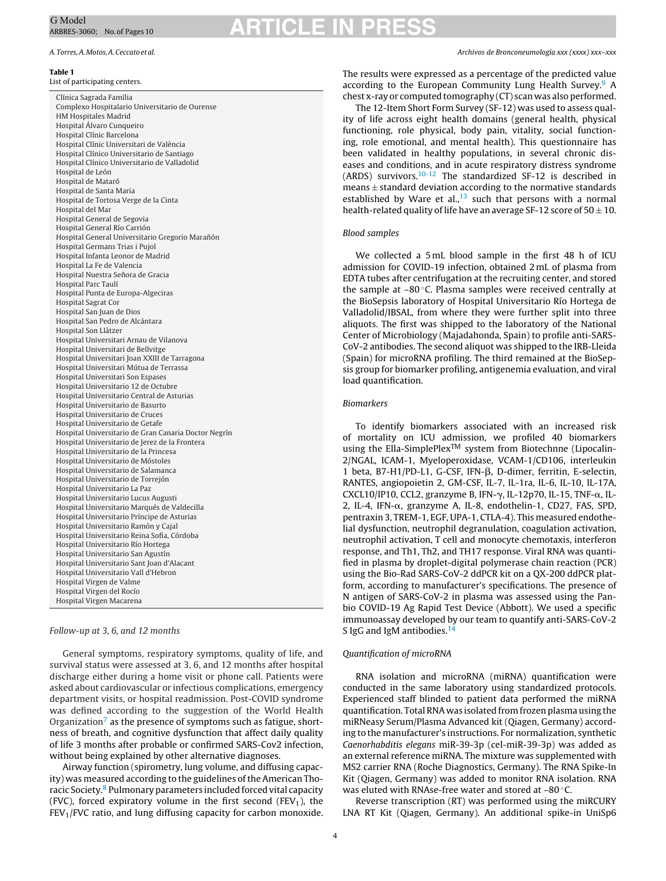### **Table 1**

List of participating centers.

Clínica Sagrada Família Complexo Hospitalario Universitario de Ourense HM Hospitales Madrid Hospital Álvaro Cunqueiro Hospital Clínic Barcelona Hospital Clínic Universitari de València Hospital Clínico Universitario de Santiago Hospital Clínico Universitario de Valladolid Hospital de León Hospital de Mataró Hospital de Santa Maria Hospital de Tortosa Verge de la Cinta Hospital del Mar Hospital General de Segovia Hospital General Río Carrión Hospital General Universitario Gregorio Marañón Hospital Germans Trias i Pujol Hospital Infanta Leonor de Madrid Hospital La Fe de Valencia Hospital Nuestra Señora de Gracia Hospital Parc Taulí Hospital Punta de Europa-Algeciras Hospital Sagrat Cor Hospital San Juan de Dios Hospital San Pedro de Alcántara Hospital Son Llàtzer Hospital Universitari Arnau de Vilanova Hospital Universitari de Bellvitge Hospital Universitari Joan XXIII de Tarragona Hospital Universitari Mútua de Terrassa Hospital Universitari Son Espases Hospital Universitario 12 de Octubre Hospital Universitario Central de Asturias Hospital Universitario de Basurto Hospital Universitario de Cruces Hospital Universitario de Getafe Hospital Universitario de Gran Canaria Doctor Negrín Hospital Universitario de Jerez de la Frontera Hospital Universitario de la Princesa Hospital Universitario de Móstoles Hospital Universitario de Salamanca Hospital Universitario de Torrejón Hospital Universitario La Paz Hospital Universitario Lucus Augusti Hospital Universitario Marqués de Valdecilla Hospital Universitario Príncipe de Asturias Hospital Universitario Ramón y Cajal Hospital Universitario Reina Sofia, Córdoba Hospital Universitario Río Hortega Hospital Universitario San Agustín Hospital Universitario Sant Joan d'Alacant Hospital Universitario Vall d'Hebron Hospital Virgen de Valme Hospital Virgen del Rocío Hospital Virgen Macarena

## Follow-up at 3, 6, and 12 months

General symptoms, respiratory symptoms, quality of life, and survival status were assessed at 3, 6, and 12 months after hospital discharge either during a home visit or phone call. Patients were asked about cardiovascular or infectious complications, emergency department visits, or hospital readmission. Post-COVID syndrome was defined according to the suggestion of the World Health Organization<sup> $\prime$ </sup> as the presence of symptoms such as fatigue, shortness of breath, and cognitive dysfunction that affect daily quality of life 3 months after probable or confirmed SARS-Cov2 infection, without being explained by other alternative diagnoses.

Airway function (spirometry, lung volume, and diffusing capacity) was measured according to the guidelines of the American Thoracic Society.[8](#page-9-0) Pulmonary parameters included forced vital capacity (FVC), forced expiratory volume in the first second (FEV<sub>1</sub>), the  $FEV<sub>1</sub>/FVC$  ratio, and lung diffusing capacity for carbon monoxide.

<span id="page-3-0"></span>A. Torres,A.Motos,A.Ceccato et al. Archivos de Bronconeumología xxx (xxxx) xxx–xxx

The results were expressed as a percentage of the predicted value according to the European Community Lung Health Survey.<sup>[9](#page-9-0)</sup> A chest x-ray or computed tomography (CT) scan was also performed.

The 12-Item Short Form Survey (SF-12) was used to assess quality of life across eight health domains (general health, physical functioning, role physical, body pain, vitality, social functioning, role emotional, and mental health). This questionnaire has been validated in healthy populations, in several chronic diseases and conditions, and in acute respiratory distress syndrome (ARDS) survivors.[10-12](#page-9-0) The standardized SF-12 is described in  $means  $\pm$  standard deviation according to the normative standards$ established by Ware et al., $13$  such that persons with a normal health-related quality of life have an average SF-12 score of  $50 \pm 10$ .

## Blood samples

We collected a 5 mL blood sample in the first 48 h of ICU admission for COVID-19 infection, obtained 2 mL of plasma from EDTA tubes after centrifugation at the recruiting center, and stored the sample at  $-80^\circ$ C. Plasma samples were received centrally at the BioSepsis laboratory of Hospital Universitario Río Hortega de Valladolid/IBSAL, from where they were further split into three aliquots. The first was shipped to the laboratory of the National Center of Microbiology (Majadahonda, Spain) to profile anti-SARS-CoV-2 antibodies. The second aliquot was shipped to the IRB-Lleida (Spain) for microRNA profiling. The third remained at the BioSepsis group for biomarker profiling, antigenemia evaluation, and viral load quantification.

## Biomarkers

To identify biomarkers associated with an increased risk of mortality on ICU admission, we profiled 40 biomarkers using the Ella-SimplePlex<sup>TM</sup> system from Biotechnne (Lipocalin-2/NGAL, ICAM-1, Myeloperoxidase, VCAM-1/CD106, interleukin 1 beta, B7-H1/PD-L1, G-CSF, IFN- $\beta$ , D-dimer, ferritin, E-selectin, RANTES, angiopoietin 2, GM-CSF, IL-7, IL-1ra, IL-6, IL-10, IL-17A, CXCL10/IP10, CCL2, granzyme B, IFN- $\gamma$ , IL-12p70, IL-15, TNF- $\alpha$ , IL-2, IL-4, IFN- $\alpha$ , granzyme A, IL-8, endothelin-1, CD27, FAS, SPD, pentraxin 3, TREM-1, EGF, UPA-1, CTLA-4). This measured endothelial dysfunction, neutrophil degranulation, coagulation activation, neutrophil activation, T cell and monocyte chemotaxis, interferon response, and Th1, Th2, and TH17 response. Viral RNA was quantified in plasma by droplet-digital polymerase chain reaction (PCR) using the Bio-Rad SARS-CoV-2 ddPCR kit on a QX-200 ddPCR platform, according to manufacturer's specifications. The presence of N antigen of SARS-CoV-2 in plasma was assessed using the Panbio COVID-19 Ag Rapid Test Device (Abbott). We used a specific immunoassay developed by our team to quantify anti-SARS-CoV-2 S IgG and IgM antibodies.<sup>14</sup>

## Quantification of microRNA

RNA isolation and microRNA (miRNA) quantification were conducted in the same laboratory using standardized protocols. Experienced staff blinded to patient data performed the miRNA quantification. Total RNA was isolated from frozen plasma using the miRNeasy Serum/Plasma Advanced kit (Qiagen, Germany) according to the manufacturer's instructions. For normalization, synthetic Caenorhabditis elegans miR-39-3p (cel-miR-39-3p) was added as an external reference miRNA. The mixture was supplemented with MS2 carrier RNA (Roche Diagnostics, Germany). The RNA Spike-In Kit (Qiagen, Germany) was added to monitor RNA isolation. RNA was eluted with RNAse-free water and stored at –80 ◦C.

Reverse transcription (RT) was performed using the miRCURY LNA RT Kit (Qiagen, Germany). An additional spike-in UniSp6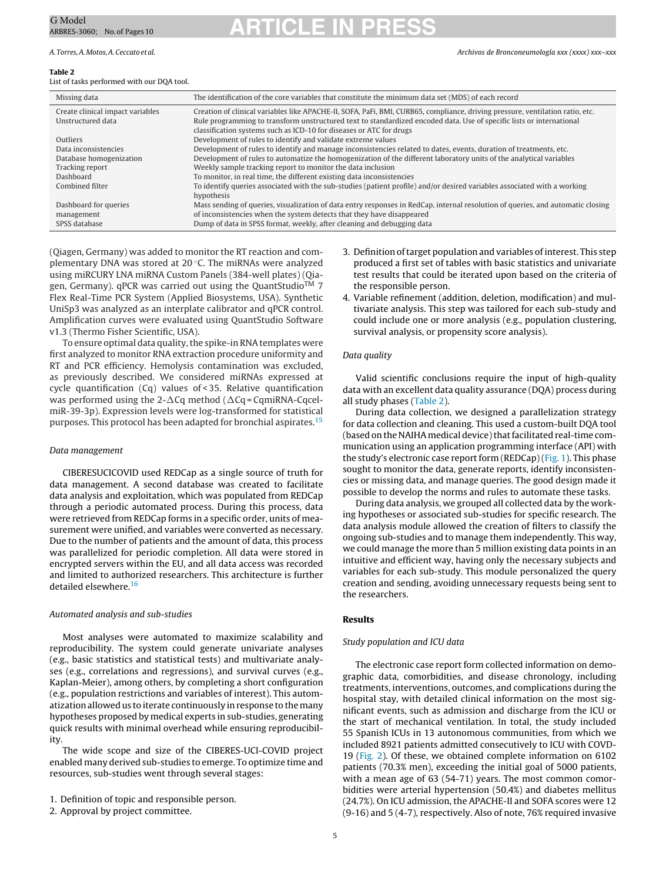### A. Torres,A.Motos,A.Ceccato et al. Archivos de Bronconeumología xxx (xxxx) xxx–xxx

### **Table 2**

### List of tasks performed with our DQA tool.

| Missing data                     | The identification of the core variables that constitute the minimum data set (MDS) of each record                                     |  |  |
|----------------------------------|----------------------------------------------------------------------------------------------------------------------------------------|--|--|
| Create clinical impact variables | Creation of clinical variables like APACHE-II, SOFA, PaFi, BMI, CURB65, compliance, driving pressure, ventilation ratio, etc.          |  |  |
| Unstructured data                | Rule programming to transform unstructured text to standardized encoded data. Use of specific lists or international                   |  |  |
|                                  | classification systems such as ICD-10 for diseases or ATC for drugs                                                                    |  |  |
| Outliers                         | Development of rules to identify and validate extreme values                                                                           |  |  |
| Data inconsistencies             | Development of rules to identify and manage inconsistencies related to dates, events, duration of treatments, etc.                     |  |  |
| Database homogenization          | Development of rules to automatize the homogenization of the different laboratory units of the analytical variables                    |  |  |
| Tracking report                  | Weekly sample tracking report to monitor the data inclusion                                                                            |  |  |
| Dashboard                        | To monitor, in real time, the different existing data inconsistencies                                                                  |  |  |
| Combined filter                  | To identify queries associated with the sub-studies (patient profile) and/or desired variables associated with a working<br>hypothesis |  |  |
| Dashboard for queries            | Mass sending of queries, visualization of data entry responses in RedCap, internal resolution of queries, and automatic closing        |  |  |
| management                       | of inconsistencies when the system detects that they have disappeared                                                                  |  |  |
| SPSS database                    | Dump of data in SPSS format, weekly, after cleaning and debugging data                                                                 |  |  |

(Qiagen, Germany) was added to monitor the RT reaction and complementary DNA was stored at 20 ◦C. The miRNAs were analyzed using miRCURY LNA miRNA Custom Panels (384-well plates) (Qiagen, Germany). qPCR was carried out using the QuantStudio<sup>TM</sup> 7 Flex Real-Time PCR System (Applied Biosystems, USA). Synthetic UniSp3 was analyzed as an interplate calibrator and qPCR control. Amplification curves were evaluated using QuantStudio Software v1.3 (Thermo Fisher Scientific, USA).

To ensure optimal data quality, the spike-in RNA templates were first analyzed to monitor RNA extraction procedure uniformity and RT and PCR efficiency. Hemolysis contamination was excluded, as previously described. We considered miRNAs expressed at cycle quantification (Cq) values of < 35. Relative quantification was performed using the 2- $\Delta$ Cq method ( $\Delta$ Cq = CqmiRNA-CqcelmiR-39-3p). Expression levels were log-transformed for statistical purposes. This protocol has been adapted for bronchial aspirates.[15](#page-9-0)

## Data management

CIBERESUCICOVID used REDCap as a single source of truth for data management. A second database was created to facilitate data analysis and exploitation, which was populated from REDCap through a periodic automated process. During this process, data were retrieved from REDCap forms in a specific order, units of measurement were unified, and variables were converted as necessary. Due to the number of patients and the amount of data, this process was parallelized for periodic completion. All data were stored in encrypted servers within the EU, and all data access was recorded and limited to authorized researchers. This architecture is further detailed elsewhere.<sup>16</sup>

## Automated analysis and sub-studies

Most analyses were automated to maximize scalability and reproducibility. The system could generate univariate analyses (e.g., basic statistics and statistical tests) and multivariate analyses (e.g., correlations and regressions), and survival curves (e.g., Kaplan-Meier), among others, by completing a short configuration (e.g., population restrictions and variables of interest). This automatization allowed us to iterate continuously in response to the many hypotheses proposed by medical experts in sub-studies, generating quick results with minimal overhead while ensuring reproducibility.

The wide scope and size of the CIBERES-UCI-COVID project enabled many derived sub-studies to emerge. To optimize time and resources, sub-studies went through several stages:

2. Approval by project committee.

- 3. Definition of target population and variables of interest. This step produced a first set of tables with basic statistics and univariate test results that could be iterated upon based on the criteria of the responsible person.
- 4. Variable refinement (addition, deletion, modification) and multivariate analysis. This step was tailored for each sub-study and could include one or more analysis (e.g., population clustering, survival analysis, or propensity score analysis).

## Data quality

Valid scientific conclusions require the input of high-quality data with an excellent data quality assurance (DQA) process during all study phases (Table 2).

During data collection, we designed a parallelization strategy for data collection and cleaning. This used a custom-built DQA tool (based on the NAIHA medical device) that facilitated real-time communication using an application programming interface (API) with the study's electronic case report form (REDCap)( $Fig. 1$ ). This phase sought to monitor the data, generate reports, identify inconsistencies or missing data, and manage queries. The good design made it possible to develop the norms and rules to automate these tasks.

During data analysis, we grouped all collected data by the working hypotheses or associated sub-studies for specific research. The data analysis module allowed the creation of filters to classify the ongoing sub-studies and to manage them independently. This way, we could manage the more than 5 million existing data points in an intuitive and efficient way, having only the necessary subjects and variables for each sub-study. This module personalized the query creation and sending, avoiding unnecessary requests being sent to the researchers.

## **Results**

## Study population and ICU data

The electronic case report form collected information on demographic data, comorbidities, and disease chronology, including treatments, interventions, outcomes, and complications during the hospital stay, with detailed clinical information on the most significant events, such as admission and discharge from the ICU or the start of mechanical ventilation. In total, the study included 55 Spanish ICUs in 13 autonomous communities, from which we included 8921 patients admitted consecutively to ICU with COVD-19 [\(Fig.](#page-5-0) 2). Of these, we obtained complete information on 6102 patients (70.3% men), exceeding the initial goal of 5000 patients, with a mean age of 63 (54-71) years. The most common comorbidities were arterial hypertension (50.4%) and diabetes mellitus (24.7%). On ICU admission, the APACHE-II and SOFA scores were 12 (9-16) and 5 (4-7), respectively. Also of note, 76% required invasive

<sup>1.</sup> Definition of topic and responsible person.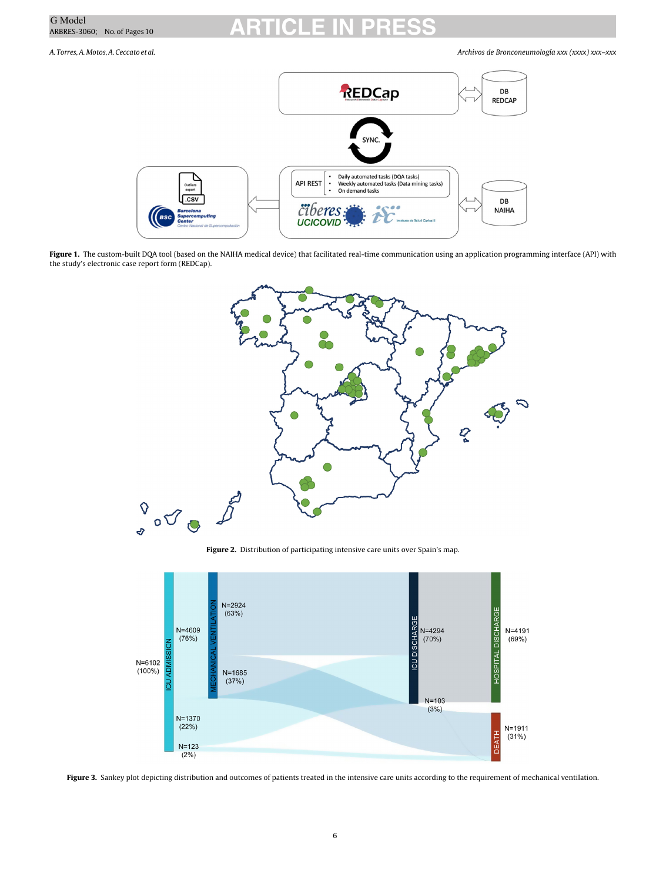<span id="page-5-0"></span>

A. Torres,A.Motos,A.Ceccato et al. Archivos de Bronconeumología xxx (xxxx) xxx–xxx



**Figure 1.** The custom-built DQA tool (based on the NAIHA medical device) that facilitated real-time communication using an application programming interface (API) with the study's electronic case report form (REDCap).



**Figure 2.** Distribution of participating intensive care units over Spain's map.



**Figure 3.** Sankey plot depicting distribution and outcomes of patients treated in the intensive care units according to the requirement of mechanical ventilation.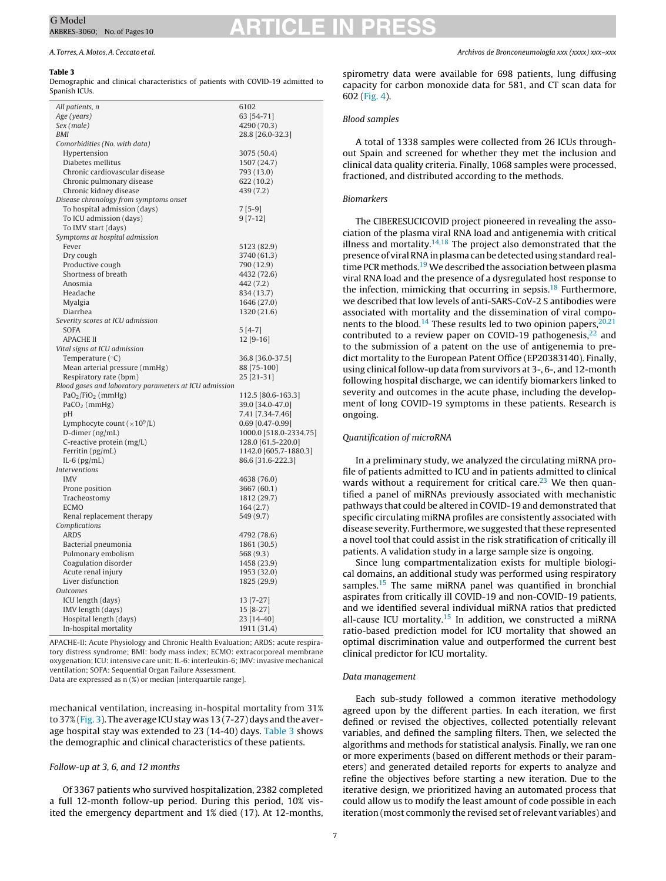### **Table 3**

Demographic and clinical characteristics of patients with COVID-19 admitted to Spanish ICUs.

| All patients, n                                        | 6102                     |
|--------------------------------------------------------|--------------------------|
| Age (years)                                            | 63 [54-71]               |
| Sex (male)                                             | 4290 (70.3)              |
| <b>BMI</b>                                             | 28.8 [26.0-32.3]         |
| Comorbidities (No. with data)                          |                          |
| Hypertension                                           | 3075 (50.4)              |
| Diabetes mellitus                                      | 1507 (24.7)              |
| Chronic cardiovascular disease                         | 793 (13.0)               |
| Chronic pulmonary disease                              | 622 (10.2)               |
| Chronic kidney disease                                 | 439 (7.2)                |
| Disease chronology from symptoms onset                 |                          |
| To hospital admission (days)                           | $7[5-9]$                 |
| To ICU admission (days)                                | $9[7-12]$                |
| To IMV start (days)                                    |                          |
| Symptoms at hospital admission                         |                          |
| Fever                                                  | 5123 (82.9)              |
| Dry cough                                              | 3740 (61.3)              |
| Productive cough                                       | 790 (12.9)               |
| Shortness of breath                                    | 4432 (72.6)              |
| Anosmia                                                | 442 (7.2)                |
| Headache                                               | 834 (13.7)               |
| Myalgia                                                | 1646 (27.0)              |
| Diarrhea                                               | 1320 (21.6)              |
| Severity scores at ICU admission                       |                          |
| <b>SOFA</b>                                            | 5 [4-7]                  |
| <b>APACHE II</b>                                       | $12 [9-16]$              |
| Vital signs at ICU admission                           |                          |
| Temperature $(°C)$                                     | 36.8 [36.0-37.5]         |
| Mean arterial pressure (mmHg)                          | 88 [75-100]              |
| Respiratory rate (bpm)                                 | 25 [21-31]               |
| Blood gases and laboratory parameters at ICU admission |                          |
| $PaO2/FiO2$ (mmHg)                                     | 112.5 [80.6-163.3]       |
| $PaCO2$ (mmHg)                                         | 39.0 [34.0-47.0]         |
| рH                                                     | 7.41 [7.34-7.46]         |
| Lymphocyte count ( $\times 10^9$ /L)                   | $0.69$ [0.47-0.99]       |
| D-dimer (ng/mL)                                        | 1000.0 [518.0-2334.75]   |
| C-reactive protein (mg/L)                              | 128.0 [61.5-220.0]       |
| Ferritin (pg/mL)                                       | 1142.0 [605.7-1880.3]    |
| IL-6 $(pg/mL)$                                         | 86.6 [31.6-222.3]        |
| <b>Interventions</b>                                   |                          |
| <b>IMV</b>                                             | 4638 (76.0)              |
| Prone position                                         | 3667 (60.1)              |
| Tracheostomy                                           | 1812 (29.7)              |
| <b>ECMO</b>                                            | 164(2.7)                 |
| Renal replacement therapy                              | 549 (9.7)                |
| Complications                                          |                          |
| <b>ARDS</b>                                            | 4792 (78.6)              |
| Bacterial pneumonia                                    | 1861 (30.5)              |
| Pulmonary embolism<br>Coagulation disorder             | 568 (9.3)<br>1458 (23.9) |
| Acute renal injury                                     |                          |
| Liver disfunction                                      | 1953 (32.0)              |
| <b>Outcomes</b>                                        | 1825 (29.9)              |
| ICU length (days)                                      | 13 [7-27]                |
| IMV length (days)                                      | 15 [8-27]                |
| Hospital length (days)                                 | 23 [14-40]               |
| In-hospital mortality                                  | 1911 (31.4)              |
|                                                        |                          |

APACHE-II: Acute Physiology and Chronic Health Evaluation; ARDS: acute respiratory distress syndrome; BMI: body mass index; ECMO: extracorporeal membrane oxygenation; ICU: intensive care unit; IL-6: interleukin-6; IMV: invasive mechanical ventilation; SOFA: Sequential Organ Failure Assessment.

Data are expressed as n (%) or median [interquartile range].

mechanical ventilation, increasing in-hospital mortality from 31% to 37%[\(Fig.](#page-5-0) 3). The average ICU stay was 13 (7-27) days and the average hospital stay was extended to 23 (14-40) days. Table 3 shows the demographic and clinical characteristics of these patients.

## Follow-up at 3, 6, and 12 months

Of 3367 patients who survived hospitalization, 2382 completed a full 12-month follow-up period. During this period, 10% visited the emergency department and 1% died (17). At 12-months, spirometry data were available for 698 patients, lung diffusing capacity for carbon monoxide data for 581, and CT scan data for 602 [\(Fig.](#page-7-0) 4).

## Blood samples

A total of 1338 samples were collected from 26 ICUs throughout Spain and screened for whether they met the inclusion and clinical data quality criteria. Finally, 1068 samples were processed, fractioned, and distributed according to the methods.

## Biomarkers

The CIBERESUCICOVID project pioneered in revealing the association of the plasma viral RNA load and antigenemia with critical illness and mortality.<sup>14,18</sup> The project also demonstrated that the presence of viral RNA in plasma can be detected using standard realtime PCR methods.<sup>19</sup> We described the association between plasma viral RNA load and the presence of a dysregulated host response to the infection, mimicking that occurring in sepsis. $18$  Furthermore, we described that low levels of anti-SARS-CoV-2 S antibodies were associated with mortality and the dissemination of viral compo-nents to the blood.<sup>[14](#page-9-0)</sup> These results led to two opinion papers,  $20,21$ contributed to a review paper on COVID-19 pathogenesis, $^{22}$  and to the submission of a patent on the use of antigenemia to predict mortality to the European Patent Office (EP20383140). Finally, using clinical follow-up data from survivors at 3-, 6-, and 12-month following hospital discharge, we can identify biomarkers linked to severity and outcomes in the acute phase, including the development of long COVID-19 symptoms in these patients. Research is ongoing.

## Quantification of microRNA

In a preliminary study, we analyzed the circulating miRNA profile of patients admitted to ICU and in patients admitted to clinical wards without a requirement for critical care. $^{23}$  $^{23}$  $^{23}$  We then quantified a panel of miRNAs previously associated with mechanistic pathways that could be altered in COVID-19 and demonstrated that specific circulating miRNA profiles are consistently associated with disease severity. Furthermore, we suggested that these represented a novel tool that could assist in the risk stratification of critically ill patients. A validation study in a large sample size is ongoing.

Since lung compartmentalization exists for multiple biological domains, an additional study was performed using respiratory samples.<sup>[15](#page-9-0)</sup> The same miRNA panel was quantified in bronchial aspirates from critically ill COVID-19 and non-COVID-19 patients, and we identified several individual miRNA ratios that predicted all-cause ICU mortality.<sup>15</sup> In addition, we constructed a miRNA ratio-based prediction model for ICU mortality that showed an optimal discrimination value and outperformed the current best clinical predictor for ICU mortality.

## Data management

Each sub-study followed a common iterative methodology agreed upon by the different parties. In each iteration, we first defined or revised the objectives, collected potentially relevant variables, and defined the sampling filters. Then, we selected the algorithms and methods for statistical analysis. Finally, we ran one or more experiments (based on different methods or their parameters) and generated detailed reports for experts to analyze and refine the objectives before starting a new iteration. Due to the iterative design, we prioritized having an automated process that could allow us to modify the least amount of code possible in each iteration (most commonly the revised set of relevant variables) and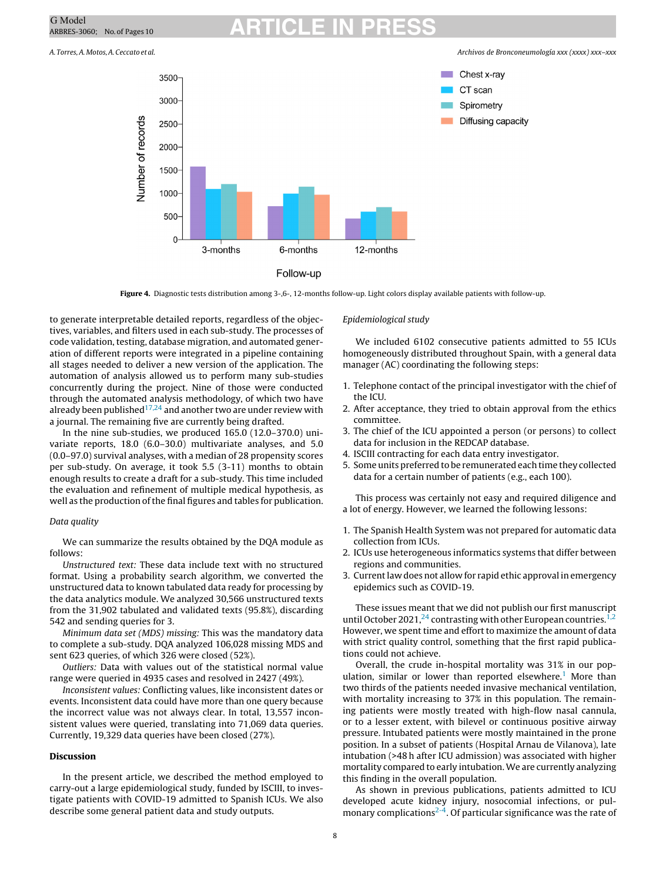<span id="page-7-0"></span>A. Torres,A.Motos,A.Ceccato et al. Archivos de Bronconeumología xxx (xxxx) xxx–xxx



**Figure 4.** Diagnostic tests distribution among 3-,6-, 12-months follow-up. Light colors display available patients with follow-up.

to generate interpretable detailed reports, regardless of the objectives, variables, and filters used in each sub-study. The processes of code validation, testing, database migration, and automated generation of different reports were integrated in a pipeline containing all stages needed to deliver a new version of the application. The automation of analysis allowed us to perform many sub-studies concurrently during the project. Nine of those were conducted through the automated analysis methodology, of which two have already been published<sup>[17,24](#page-9-0)</sup> and another two are under review with a journal. The remaining five are currently being drafted.

In the nine sub-studies, we produced 165.0 (12.0–370.0) univariate reports, 18.0 (6.0–30.0) multivariate analyses, and 5.0 (0.0–97.0) survival analyses, with a median of 28 propensity scores per sub-study. On average, it took 5.5 (3-11) months to obtain enough results to create a draft for a sub-study. This time included the evaluation and refinement of multiple medical hypothesis, as well as the production of the final figures and tables for publication.

## Data quality

We can summarize the results obtained by the DQA module as follows:

Unstructured text: These data include text with no structured format. Using a probability search algorithm, we converted the unstructured data to known tabulated data ready for processing by the data analytics module. We analyzed 30,566 unstructured texts from the 31,902 tabulated and validated texts (95.8%), discarding 542 and sending queries for 3.

Minimum data set (MDS) missing: This was the mandatory data to complete a sub-study. DQA analyzed 106,028 missing MDS and sent 623 queries, of which 326 were closed (52%).

Outliers: Data with values out of the statistical normal value range were queried in 4935 cases and resolved in 2427 (49%).

Inconsistent values: Conflicting values, like inconsistent dates or events. Inconsistent data could have more than one query because the incorrect value was not always clear. In total, 13,557 inconsistent values were queried, translating into 71,069 data queries. Currently, 19,329 data queries have been closed (27%).

## **Discussion**

In the present article, we described the method employed to carry-out a large epidemiological study, funded by ISCIII, to investigate patients with COVID-19 admitted to Spanish ICUs. We also describe some general patient data and study outputs.

## Epidemiological study

We included 6102 consecutive patients admitted to 55 ICUs homogeneously distributed throughout Spain, with a general data manager (AC) coordinating the following steps:

- 1. Telephone contact of the principal investigator with the chief of the ICU.
- 2. After acceptance, they tried to obtain approval from the ethics committee.
- 3. The chief of the ICU appointed a person (or persons) to collect data for inclusion in the REDCAP database.
- 4. ISCIII contracting for each data entry investigator.
- 5. Some units preferred to be remunerated each time they collected data for a certain number of patients (e.g., each 100).

This process was certainly not easy and required diligence and a lot of energy. However, we learned the following lessons:

- 1. The Spanish Health System was not prepared for automatic data collection from ICUs.
- 2. ICUs use heterogeneous informatics systems that differ between regions and communities.
- 3. Current law does not allow for rapid ethic approval in emergency epidemics such as COVID-19.

These issues meant that we did not publish our first manuscript until October 2021,<sup>[24](#page-9-0)</sup> contrasting with other European countries.<sup>1,2</sup> However, we spent time and effort to maximize the amount of data with strict quality control, something that the first rapid publications could not achieve.

Overall, the crude in-hospital mortality was 31% in our population, similar or lower than reported elsewhere.<sup>1</sup> More than two thirds of the patients needed invasive mechanical ventilation, with mortality increasing to 37% in this population. The remaining patients were mostly treated with high-flow nasal cannula, or to a lesser extent, with bilevel or continuous positive airway pressure. Intubated patients were mostly maintained in the prone position. In a subset of patients (Hospital Arnau de Vilanova), late intubation (>48 h after ICU admission) was associated with higher mortality compared to early intubation. We are currently analyzing this finding in the overall population.

As shown in previous publications, patients admitted to ICU developed acute kidney injury, nosocomial infections, or pulmonary complications<sup>2-4</sup>. Of particular significance was the rate of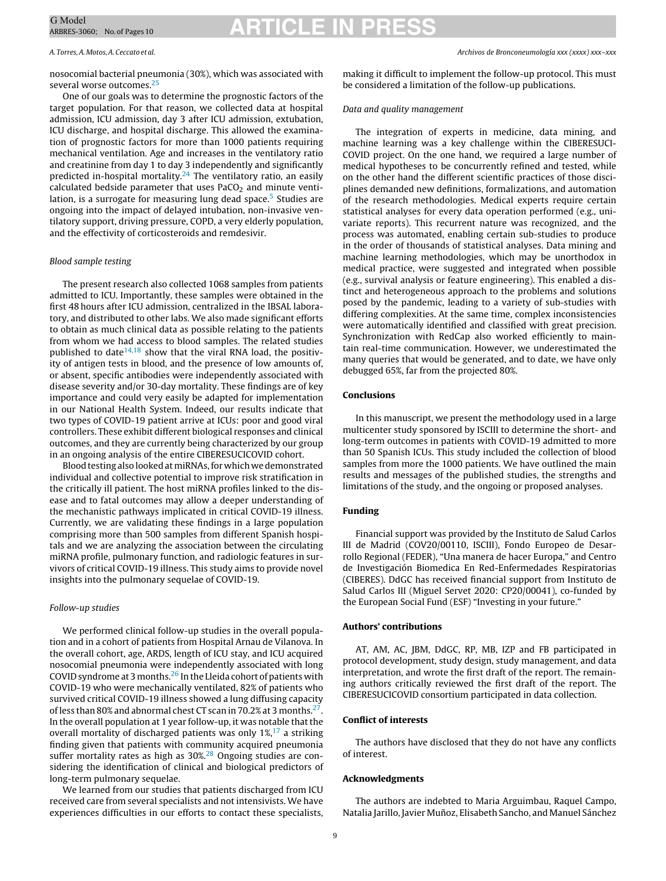nosocomial bacterial pneumonia (30%), which was associated with several worse outcomes.<sup>[25](#page-9-0)</sup>

One of our goals was to determine the prognostic factors of the target population. For that reason, we collected data at hospital admission, ICU admission, day 3 after ICU admission, extubation, ICU discharge, and hospital discharge. This allowed the examination of prognostic factors for more than 1000 patients requiring mechanical ventilation. Age and increases in the ventilatory ratio and creatinine from day 1 to day 3 independently and significantly predicted in-hospital mortality. $24$  The ventilatory ratio, an easily calculated bedside parameter that uses  $PaCO<sub>2</sub>$  and minute ventilation, is a surrogate for measuring lung dead space.<sup>5</sup> Studies are ongoing into the impact of delayed intubation, non-invasive ventilatory support, driving pressure, COPD, a very elderly population, and the effectivity of corticosteroids and remdesivir.

## Blood sample testing

The present research also collected 1068 samples from patients admitted to ICU. Importantly, these samples were obtained in the first 48 hours after ICU admission, centralized in the IBSAL laboratory, and distributed to other labs. We also made significant efforts to obtain as much clinical data as possible relating to the patients from whom we had access to blood samples. The related studies published to date $14,18$  show that the viral RNA load, the positivity of antigen tests in blood, and the presence of low amounts of, or absent, specific antibodies were independently associated with disease severity and/or 30-day mortality. These findings are of key importance and could very easily be adapted for implementation in our National Health System. Indeed, our results indicate that two types of COVID-19 patient arrive at ICUs: poor and good viral controllers. These exhibit different biological responses and clinical outcomes, and they are currently being characterized by our group in an ongoing analysis of the entire CIBERESUCICOVID cohort.

Blood testing also looked atmiRNAs,for which we demonstrated individual and collective potential to improve risk stratification in the critically ill patient. The host miRNA profiles linked to the disease and to fatal outcomes may allow a deeper understanding of the mechanistic pathways implicated in critical COVID-19 illness. Currently, we are validating these findings in a large population comprising more than 500 samples from different Spanish hospitals and we are analyzing the association between the circulating miRNA profile, pulmonary function, and radiologic features in survivors of critical COVID-19 illness. This study aims to provide novel insights into the pulmonary sequelae of COVID-19.

## Follow-up studies

We performed clinical follow-up studies in the overall population and in a cohort of patients from Hospital Arnau de Vilanova. In the overall cohort, age, ARDS, length of ICU stay, and ICU acquired nosocomial pneumonia were independently associated with long COVID syndrome at 3 months.<sup>[26](#page-9-0)</sup> In the Lleida cohort of patients with COVID-19 who were mechanically ventilated, 82% of patients who survived critical COVID-19 illness showed a lung diffusing capacity of less than 80% and abnormal chest CT scan in 70.2% at 3 months[.27.](#page-9-0) In the overall population at 1 year follow-up, it was notable that the overall mortality of discharged patients was only  $1\frac{1}{2}$ , a striking finding given that patients with community acquired pneumonia suffer mortality rates as high as 30%.<sup>[28](#page-9-0)</sup> Ongoing studies are considering the identification of clinical and biological predictors of long-term pulmonary sequelae.

We learned from our studies that patients discharged from ICU received care from several specialists and not intensivists. We have experiences difficulties in our efforts to contact these specialists,

making it difficult to implement the follow-up protocol. This must be considered a limitation of the follow-up publications.

### Data and quality management

The integration of experts in medicine, data mining, and machine learning was a key challenge within the CIBERESUCI-COVID project. On the one hand, we required a large number of medical hypotheses to be concurrently refined and tested, while on the other hand the different scientific practices of those disciplines demanded new definitions, formalizations, and automation of the research methodologies. Medical experts require certain statistical analyses for every data operation performed (e.g., univariate reports). This recurrent nature was recognized, and the process was automated, enabling certain sub-studies to produce in the order of thousands of statistical analyses. Data mining and machine learning methodologies, which may be unorthodox in medical practice, were suggested and integrated when possible (e.g., survival analysis or feature engineering). This enabled a distinct and heterogeneous approach to the problems and solutions posed by the pandemic, leading to a variety of sub-studies with differing complexities. At the same time, complex inconsistencies were automatically identified and classified with great precision. Synchronization with RedCap also worked efficiently to maintain real-time communication. However, we underestimated the many queries that would be generated, and to date, we have only debugged 65%, far from the projected 80%.

## **Conclusions**

In this manuscript, we present the methodology used in a large multicenter study sponsored by ISCIII to determine the short- and long-term outcomes in patients with COVID-19 admitted to more than 50 Spanish ICUs. This study included the collection of blood samples from more the 1000 patients. We have outlined the main results and messages of the published studies, the strengths and limitations of the study, and the ongoing or proposed analyses.

## **Funding**

Financial support was provided by the Instituto de Salud Carlos III de Madrid (COV20/00110, ISCIII), Fondo Europeo de Desarrollo Regional (FEDER), "Una manera de hacer Europa," and Centro de Investigación Biomedica En Red-Enfermedades Respiratorias (CIBERES). DdGC has received financial support from Instituto de Salud Carlos III (Miguel Servet 2020: CP20/00041), co-funded by the European Social Fund (ESF) "Investing in your future."

## **Authors' contributions**

AT, AM, AC, JBM, DdGC, RP, MB, IZP and FB participated in protocol development, study design, study management, and data interpretation, and wrote the first draft of the report. The remaining authors critically reviewed the first draft of the report. The CIBERESUCICOVID consortium participated in data collection.

## **Conflict of interests**

The authors have disclosed that they do not have any conflicts of interest.

## **Acknowledgments**

The authors are indebted to Maria Arguimbau, Raquel Campo, Natalia Jarillo, Javier Munoz, ˜ Elisabeth Sancho, and Manuel Sánchez